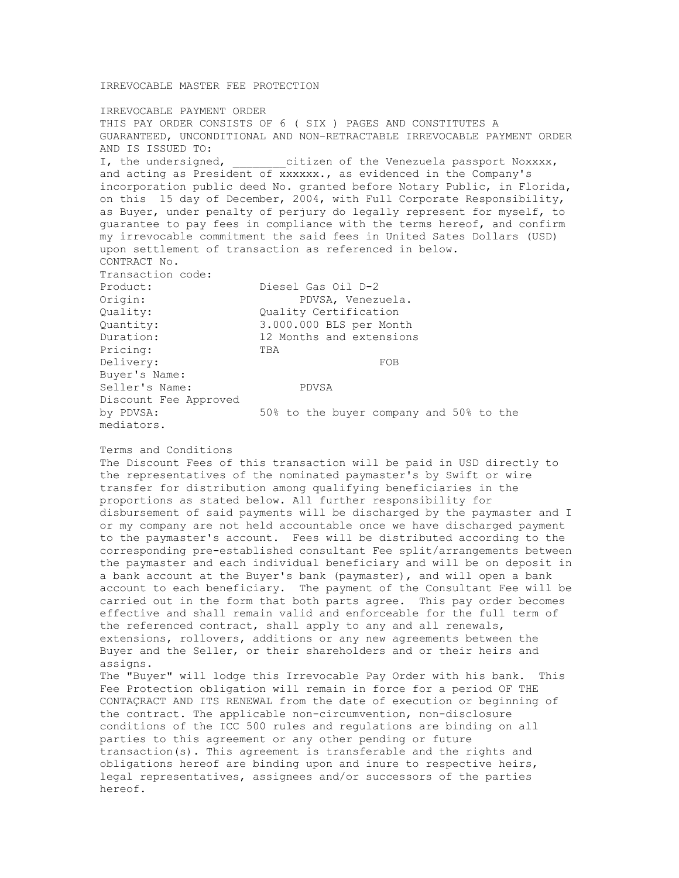## IRREVOCABLE MASTER FEE PROTECTION

IRREVOCABLE PAYMENT ORDER THIS PAY ORDER CONSISTS OF 6 ( SIX ) PAGES AND CONSTITUTES A GUARANTEED, UNCONDITIONAL AND NON-RETRACTABLE IRREVOCABLE PAYMENT ORDER AND IS ISSUED TO: I, the undersigned,  $\qquad \qquad$  citizen of the Venezuela passport Noxxxx, and acting as President of xxxxxx., as evidenced in the Company's incorporation public deed No. granted before Notary Public, in Florida, on this 15 day of December, 2004, with Full Corporate Responsibility, as Buyer, under penalty of perjury do legally represent for myself, to guarantee to pay fees in compliance with the terms hereof, and confirm my irrevocable commitment the said fees in United Sates Dollars (USD) upon settlement of transaction as referenced in below. CONTRACT No. Transaction code: Product: Diesel Gas Oil D-2 Origin: PDVSA, Venezuela. Quality: Quality Certification Quantity: 3.000.000 BLS per Month Duration: 12 Months and extensions Pricing: TBA Delivery: FOB Buyer's Name: Seller's Name: PDVSA Discount Fee Approved by PDVSA: 50% to the buyer company and 50% to the mediators.

## Terms and Conditions

The Discount Fees of this transaction will be paid in USD directly to the representatives of the nominated paymaster's by Swift or wire transfer for distribution among qualifying beneficiaries in the proportions as stated below. All further responsibility for disbursement of said payments will be discharged by the paymaster and I or my company are not held accountable once we have discharged payment to the paymaster's account. Fees will be distributed according to the corresponding pre-established consultant Fee split/arrangements between the paymaster and each individual beneficiary and will be on deposit in a bank account at the Buyer's bank (paymaster), and will open a bank account to each beneficiary. The payment of the Consultant Fee will be carried out in the form that both parts agree. This pay order becomes effective and shall remain valid and enforceable for the full term of the referenced contract, shall apply to any and all renewals, extensions, rollovers, additions or any new agreements between the Buyer and the Seller, or their shareholders and or their heirs and assigns. The "Buyer" will lodge this Irrevocable Pay Order with his bank. This

Fee Protection obligation will remain in force for a period OF THE CONTAÇRACT AND ITS RENEWAL from the date of execution or beginning of the contract. The applicable non-circumvention, non-disclosure conditions of the ICC 500 rules and regulations are binding on all parties to this agreement or any other pending or future transaction(s). This agreement is transferable and the rights and obligations hereof are binding upon and inure to respective heirs, legal representatives, assignees and/or successors of the parties hereof.